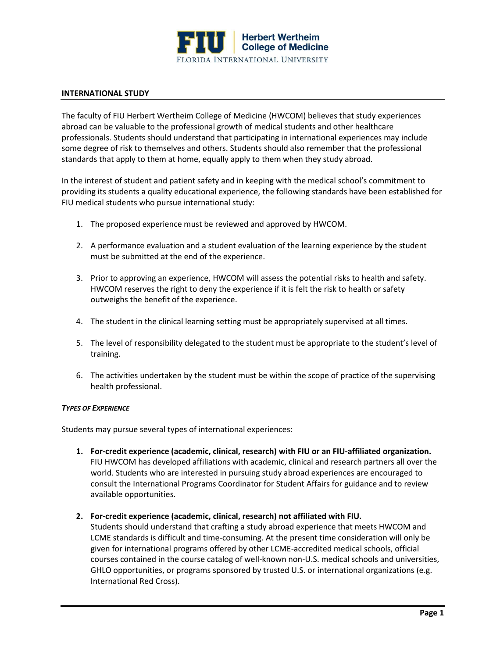

#### **INTERNATIONAL STUDY**

The faculty of FIU Herbert Wertheim College of Medicine (HWCOM) believes that study experiences abroad can be valuable to the professional growth of medical students and other healthcare professionals. Students should understand that participating in international experiences may include some degree of risk to themselves and others. Students should also remember that the professional standards that apply to them at home, equally apply to them when they study abroad.

In the interest of student and patient safety and in keeping with the medical school's commitment to providing its students a quality educational experience, the following standards have been established for FIU medical students who pursue international study:

- 1. The proposed experience must be reviewed and approved by HWCOM.
- 2. A performance evaluation and a student evaluation of the learning experience by the student must be submitted at the end of the experience.
- 3. Prior to approving an experience, HWCOM will assess the potential risks to health and safety. HWCOM reserves the right to deny the experience if it is felt the risk to health or safety outweighs the benefit of the experience.
- 4. The student in the clinical learning setting must be appropriately supervised at all times.
- 5. The level of responsibility delegated to the student must be appropriate to the student's level of training.
- 6. The activities undertaken by the student must be within the scope of practice of the supervising health professional.

#### *TYPES OF EXPERIENCE*

Students may pursue several types of international experiences:

- **1. For-credit experience (academic, clinical, research) with FIU or an FIU-affiliated organization.** FIU HWCOM has developed affiliations with academic, clinical and research partners all over the world. Students who are interested in pursuing study abroad experiences are encouraged to consult the International Programs Coordinator for Student Affairs for guidance and to review available opportunities.
- **2. For-credit experience (academic, clinical, research) not affiliated with FIU.**

Students should understand that crafting a study abroad experience that meets HWCOM and LCME standards is difficult and time-consuming. At the present time consideration will only be given for international programs offered by other LCME-accredited medical schools, official courses contained in the course catalog of well-known non-U.S. medical schools and universities, GHLO opportunities, or programs sponsored by trusted U.S. or international organizations (e.g. International Red Cross).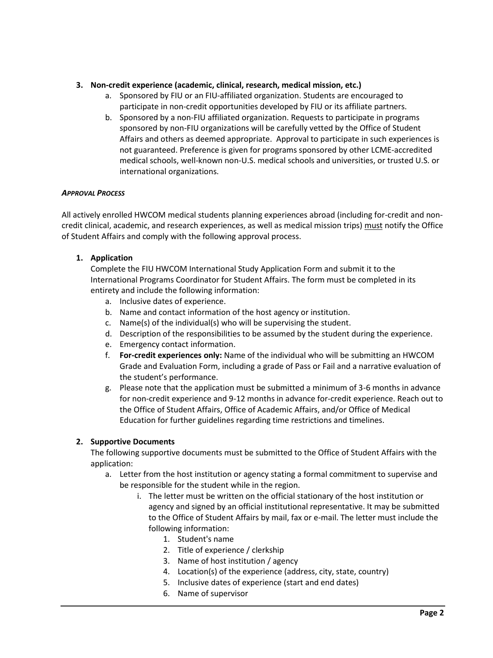## **3. Non-credit experience (academic, clinical, research, medical mission, etc.)**

- a. Sponsored by FIU or an FIU-affiliated organization. Students are encouraged to participate in non-credit opportunities developed by FIU or its affiliate partners.
- b. Sponsored by a non-FIU affiliated organization. Requests to participate in programs sponsored by non-FIU organizations will be carefully vetted by the Office of Student Affairs and others as deemed appropriate. Approval to participate in such experiences is not guaranteed. Preference is given for programs sponsored by other LCME-accredited medical schools, well-known non-U.S. medical schools and universities, or trusted U.S. or international organizations.

### *APPROVAL PROCESS*

All actively enrolled HWCOM medical students planning experiences abroad (including for-credit and noncredit clinical, academic, and research experiences, as well as medical mission trips) must notify the Office of Student Affairs and comply with the following approval process.

# **1. Application**

Complete the FIU HWCOM International Study Application Form and submit it to the International Programs Coordinator for Student Affairs. The form must be completed in its entirety and include the following information:

- a. Inclusive dates of experience.
- b. Name and contact information of the host agency or institution.
- c. Name(s) of the individual(s) who will be supervising the student.
- d. Description of the responsibilities to be assumed by the student during the experience.
- e. Emergency contact information.
- f. **For-credit experiences only:** Name of the individual who will be submitting an HWCOM Grade and Evaluation Form, including a grade of Pass or Fail and a narrative evaluation of the student's performance.
- g. Please note that the application must be submitted a minimum of 3-6 months in advance for non-credit experience and 9-12 months in advance for-credit experience. Reach out to the Office of Student Affairs, Office of Academic Affairs, and/or Office of Medical Education for further guidelines regarding time restrictions and timelines.

### **2. Supportive Documents**

The following supportive documents must be submitted to the Office of Student Affairs with the application:

- a. Letter from the host institution or agency stating a formal commitment to supervise and be responsible for the student while in the region.
	- i. The letter must be written on the official stationary of the host institution or agency and signed by an official institutional representative. It may be submitted to the Office of Student Affairs by mail, fax or e-mail. The letter must include the following information:
		- 1. Student's name
		- 2. Title of experience / clerkship
		- 3. Name of host institution / agency
		- 4. Location(s) of the experience (address, city, state, country)
		- 5. Inclusive dates of experience (start and end dates)
		- 6. Name of supervisor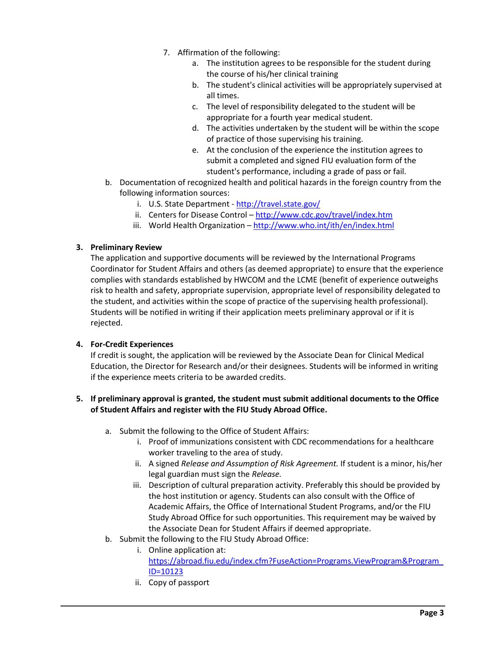- 7. Affirmation of the following:
	- a. The institution agrees to be responsible for the student during the course of his/her clinical training
	- b. The student's clinical activities will be appropriately supervised at all times.
	- c. The level of responsibility delegated to the student will be appropriate for a fourth year medical student.
	- d. The activities undertaken by the student will be within the scope of practice of those supervising his training.
	- e. At the conclusion of the experience the institution agrees to submit a completed and signed FIU evaluation form of the student's performance, including a grade of pass or fail.
- b. Documentation of recognized health and political hazards in the foreign country from the following information sources:
	- i. U.S. State Department <http://travel.state.gov/>
	- ii. Centers for Disease Control <http://www.cdc.gov/travel/index.htm>
	- iii. World Health Organization <http://www.who.int/ith/en/index.html>

### **3. Preliminary Review**

The application and supportive documents will be reviewed by the International Programs Coordinator for Student Affairs and others (as deemed appropriate) to ensure that the experience complies with standards established by HWCOM and the LCME (benefit of experience outweighs risk to health and safety, appropriate supervision, appropriate level of responsibility delegated to the student, and activities within the scope of practice of the supervising health professional). Students will be notified in writing if their application meets preliminary approval or if it is rejected.

### **4. For-Credit Experiences**

If credit is sought, the application will be reviewed by the Associate Dean for Clinical Medical Education, the Director for Research and/or their designees. Students will be informed in writing if the experience meets criteria to be awarded credits.

## **5. If preliminary approval is granted, the student must submit additional documents to the Office of Student Affairs and register with the FIU Study Abroad Office.**

- a. Submit the following to the Office of Student Affairs:
	- i. Proof of immunizations consistent with CDC recommendations for a healthcare worker traveling to the area of study.
	- ii. A signed *Release and Assumption of Risk Agreement.* If student is a minor, his/her legal guardian must sign the *Release.*
	- iii. Description of cultural preparation activity. Preferably this should be provided by the host institution or agency. Students can also consult with the Office of Academic Affairs, the Office of International Student Programs, and/or the FIU Study Abroad Office for such opportunities. This requirement may be waived by the Associate Dean for Student Affairs if deemed appropriate.
- b. Submit the following to the FIU Study Abroad Office:
	- i. Online application at: https://abroad.fiu.edu/index.cfm?FuseAction=Programs.ViewProgram&Program\_ ID=10123
	- ii. Copy of passport